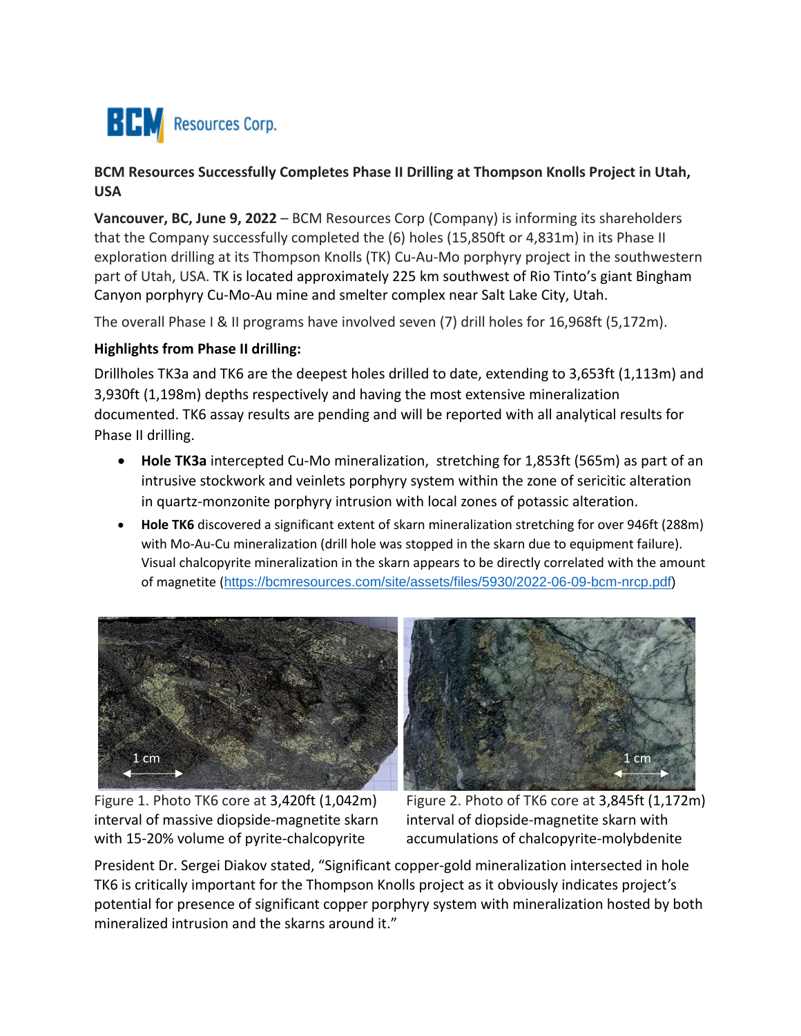

## **BCM Resources Successfully Completes Phase II Drilling at Thompson Knolls Project in Utah, USA**

**Vancouver, BC, June 9, 2022** – BCM Resources Corp (Company) is informing its shareholders that the Company successfully completed the (6) holes (15,850ft or 4,831m) in its Phase II exploration drilling at its Thompson Knolls (TK) Cu-Au-Mo porphyry project in the southwestern part of Utah, USA. TK is located approximately 225 km southwest of Rio Tinto's giant Bingham Canyon porphyry Cu-Mo-Au mine and smelter complex near Salt Lake City, Utah.

The overall Phase I & II programs have involved seven (7) drill holes for 16,968ft (5,172m).

## **Highlights from Phase II drilling:**

Drillholes TK3a and TK6 are the deepest holes drilled to date, extending to 3,653ft (1,113m) and 3,930ft (1,198m) depths respectively and having the most extensive mineralization documented. TK6 assay results are pending and will be reported with all analytical results for Phase II drilling.

- **Hole TK3a** intercepted Cu-Mo mineralization, stretching for 1,853ft (565m) as part of an intrusive stockwork and veinlets porphyry system within the zone of sericitic alteration in quartz-monzonite porphyry intrusion with local zones of potassic alteration.
- **Hole TK6** discovered a significant extent of skarn mineralization stretching for over 946ft (288m) with Mo-Au-Cu mineralization (drill hole was stopped in the skarn due to equipment failure). Visual chalcopyrite mineralization in the skarn appears to be directly correlated with the amount of magnetite ([https://bcmresources.com/site/assets/files/5930/2022-06-09-bcm-nrcp.pdf\)](https://bcmresources.com/site/assets/files/5930/2022-06-09-bcm-nrcp.pdf)





Figure 1. Photo TK6 core at 3,420ft (1,042m) interval of massive diopside-magnetite skarn with 15-20% volume of pyrite-chalcopyrite

Figure 2. Photo of TK6 core at 3,845ft (1,172m) interval of diopside-magnetite skarn with accumulations of chalcopyrite-molybdenite

President Dr. Sergei Diakov stated, "Significant copper-gold mineralization intersected in hole TK6 is critically important for the Thompson Knolls project as it obviously indicates project's potential for presence of significant copper porphyry system with mineralization hosted by both mineralized intrusion and the skarns around it."